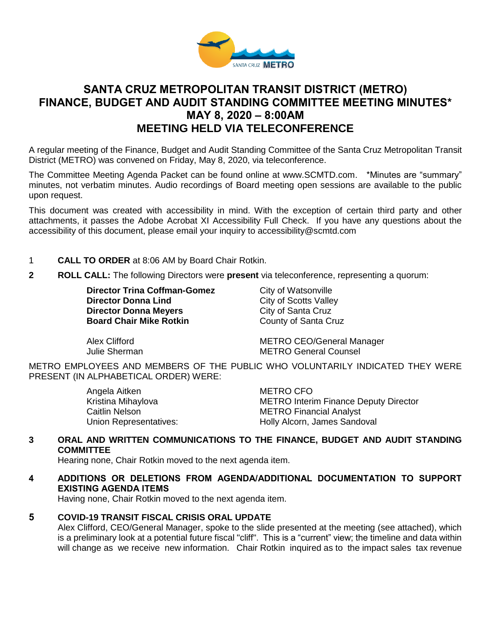

# **SANTA CRUZ METROPOLITAN TRANSIT DISTRICT (METRO) FINANCE, BUDGET AND AUDIT STANDING COMMITTEE MEETING MINUTES\* MAY 8, 2020 – 8:00AM MEETING HELD VIA TELECONFERENCE**

A regular meeting of the Finance, Budget and Audit Standing Committee of the Santa Cruz Metropolitan Transit District (METRO) was convened on Friday, May 8, 2020, via teleconference.

The Committee Meeting Agenda Packet can be found online at www.SCMTD.com. \*Minutes are "summary" minutes, not verbatim minutes. Audio recordings of Board meeting open sessions are available to the public upon request.

This document was created with accessibility in mind. With the exception of certain third party and other attachments, it passes the Adobe Acrobat XI Accessibility Full Check. If you have any questions about the accessibility of this document, please email your inquiry to accessibility@scmtd.com

- 1 **CALL TO ORDER** at 8:06 AM by Board Chair Rotkin.
- **2 ROLL CALL:** The following Directors were **present** via teleconference, representing a quorum:

**Director Trina Coffman-Gomez** City of Watsonville **Director Donna Lind** City of Scotts Valley **Director Donna Meyers** City of Santa Cruz **Board Chair Mike Rotkin County of Santa Cruz** 

Alex Clifford **METRO CEO/General Manager**<br>
Unlie Sherman METRO General Counsel **METRO General Counsel** 

METRO EMPLOYEES AND MEMBERS OF THE PUBLIC WHO VOLUNTARILY INDICATED THEY WERE PRESENT (IN ALPHABETICAL ORDER) WERE:

> Angela Aitken METRO CFO Caitlin Nelson **METRO** Financial Analyst

Kristina Mihaylova **METRO Interim Finance Deputy Director** Union Representatives: Holly Alcorn, James Sandoval

### **3 ORAL AND WRITTEN COMMUNICATIONS TO THE FINANCE, BUDGET AND AUDIT STANDING COMMITTEE**

Hearing none, Chair Rotkin moved to the next agenda item.

### **4 ADDITIONS OR DELETIONS FROM AGENDA/ADDITIONAL DOCUMENTATION TO SUPPORT EXISTING AGENDA ITEMS**

Having none, Chair Rotkin moved to the next agenda item.

### **5 COVID-19 TRANSIT FISCAL CRISIS ORAL UPDATE**

Alex Clifford, CEO/General Manager, spoke to the slide presented at the meeting (see attached), which is a preliminary look at a potential future fiscal "cliff". This is a "current" view; the timeline and data within will change as we receive new information. Chair Rotkin inquired as to the impact sales tax revenue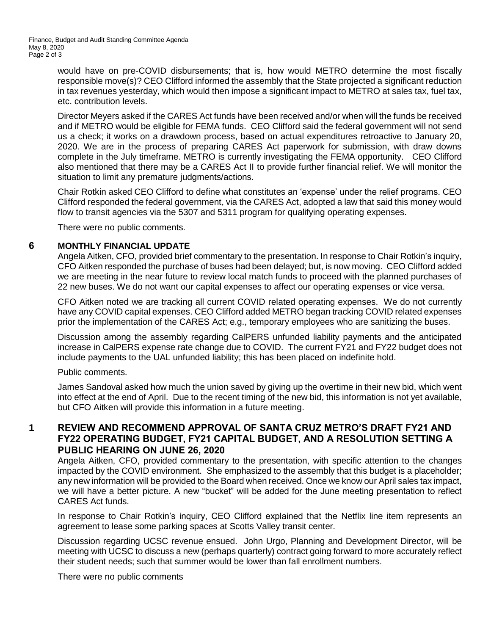would have on pre-COVID disbursements; that is, how would METRO determine the most fiscally responsible move(s)? CEO Clifford informed the assembly that the State projected a significant reduction in tax revenues yesterday, which would then impose a significant impact to METRO at sales tax, fuel tax, etc. contribution levels.

Director Meyers asked if the CARES Act funds have been received and/or when will the funds be received and if METRO would be eligible for FEMA funds. CEO Clifford said the federal government will not send us a check; it works on a drawdown process, based on actual expenditures retroactive to January 20, 2020. We are in the process of preparing CARES Act paperwork for submission, with draw downs complete in the July timeframe. METRO is currently investigating the FEMA opportunity. CEO Clifford also mentioned that there may be a CARES Act II to provide further financial relief. We will monitor the situation to limit any premature judgments/actions.

Chair Rotkin asked CEO Clifford to define what constitutes an 'expense' under the relief programs. CEO Clifford responded the federal government, via the CARES Act, adopted a law that said this money would flow to transit agencies via the 5307 and 5311 program for qualifying operating expenses.

There were no public comments.

## **6 MONTHLY FINANCIAL UPDATE**

Angela Aitken, CFO, provided brief commentary to the presentation. In response to Chair Rotkin's inquiry, CFO Aitken responded the purchase of buses had been delayed; but, is now moving. CEO Clifford added we are meeting in the near future to review local match funds to proceed with the planned purchases of 22 new buses. We do not want our capital expenses to affect our operating expenses or vice versa.

CFO Aitken noted we are tracking all current COVID related operating expenses. We do not currently have any COVID capital expenses. CEO Clifford added METRO began tracking COVID related expenses prior the implementation of the CARES Act; e.g., temporary employees who are sanitizing the buses.

Discussion among the assembly regarding CalPERS unfunded liability payments and the anticipated increase in CalPERS expense rate change due to COVID. The current FY21 and FY22 budget does not include payments to the UAL unfunded liability; this has been placed on indefinite hold.

### Public comments.

James Sandoval asked how much the union saved by giving up the overtime in their new bid, which went into effect at the end of April. Due to the recent timing of the new bid, this information is not yet available, but CFO Aitken will provide this information in a future meeting.

# **1 REVIEW AND RECOMMEND APPROVAL OF SANTA CRUZ METRO'S DRAFT FY21 AND FY22 OPERATING BUDGET, FY21 CAPITAL BUDGET, AND A RESOLUTION SETTING A PUBLIC HEARING ON JUNE 26, 2020**

Angela Aitken, CFO, provided commentary to the presentation, with specific attention to the changes impacted by the COVID environment. She emphasized to the assembly that this budget is a placeholder; any new information will be provided to the Board when received. Once we know our April sales tax impact, we will have a better picture. A new "bucket" will be added for the June meeting presentation to reflect CARES Act funds.

In response to Chair Rotkin's inquiry, CEO Clifford explained that the Netflix line item represents an agreement to lease some parking spaces at Scotts Valley transit center.

Discussion regarding UCSC revenue ensued. John Urgo, Planning and Development Director, will be meeting with UCSC to discuss a new (perhaps quarterly) contract going forward to more accurately reflect their student needs; such that summer would be lower than fall enrollment numbers.

There were no public comments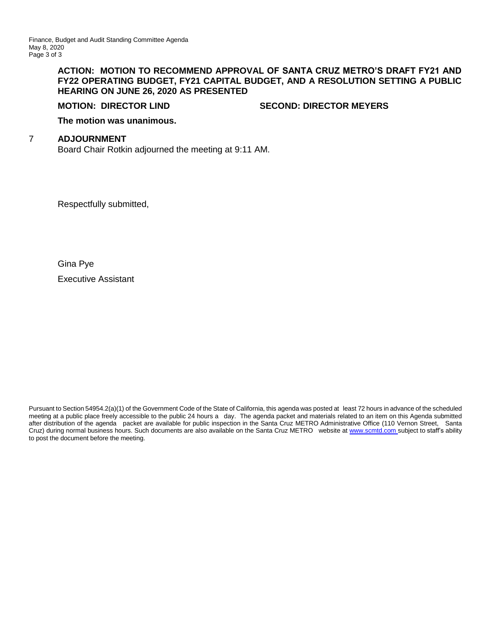#### **ACTION: MOTION TO RECOMMEND APPROVAL OF SANTA CRUZ METRO'S DRAFT FY21 AND FY22 OPERATING BUDGET, FY21 CAPITAL BUDGET, AND A RESOLUTION SETTING A PUBLIC HEARING ON JUNE 26, 2020 AS PRESENTED**

**MOTION: DIRECTOR LIND SECOND: DIRECTOR MEYERS**

**The motion was unanimous.**

#### 7 **ADJOURNMENT**

Board Chair Rotkin adjourned the meeting at 9:11 AM.

Respectfully submitted,

Gina Pye Executive Assistant

Pursuant to Section 54954.2(a)(1) of the Government Code of the State of California, this agenda was posted at least 72 hours in advance of the scheduled meeting at a public place freely accessible to the public 24 hours a day. The agenda packet and materials related to an item on this Agenda submitted after distribution of the agenda packet are available for public inspection in the Santa Cruz METRO Administrative Office (110 Vernon Street, Santa Cruz) during normal business hours. Such documents are also available on the Santa Cruz METRO website a[t www.scmtd.com](http://www.scmtd.com/) subject to staff's ability to post the document before the meeting.